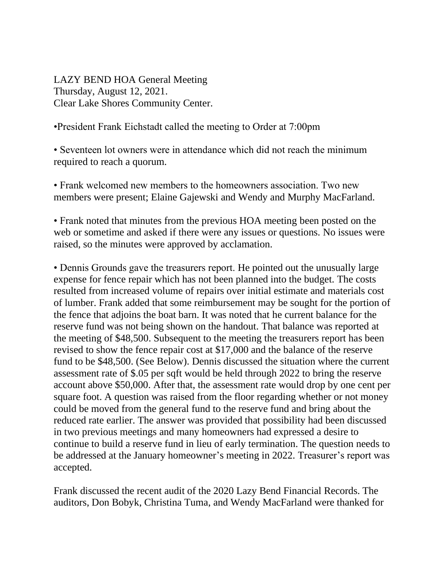LAZY BEND HOA General Meeting Thursday, August 12, 2021. Clear Lake Shores Community Center.

## •President Frank Eichstadt called the meeting to Order at 7:00pm

• Seventeen lot owners were in attendance which did not reach the minimum required to reach a quorum.

• Frank welcomed new members to the homeowners association. Two new members were present; Elaine Gajewski and Wendy and Murphy MacFarland.

• Frank noted that minutes from the previous HOA meeting been posted on the web or sometime and asked if there were any issues or questions. No issues were raised, so the minutes were approved by acclamation.

• Dennis Grounds gave the treasurers report. He pointed out the unusually large expense for fence repair which has not been planned into the budget. The costs resulted from increased volume of repairs over initial estimate and materials cost of lumber. Frank added that some reimbursement may be sought for the portion of the fence that adjoins the boat barn. It was noted that he current balance for the reserve fund was not being shown on the handout. That balance was reported at the meeting of \$48,500. Subsequent to the meeting the treasurers report has been revised to show the fence repair cost at \$17,000 and the balance of the reserve fund to be \$48,500. (See Below). Dennis discussed the situation where the current assessment rate of \$.05 per sqft would be held through 2022 to bring the reserve account above \$50,000. After that, the assessment rate would drop by one cent per square foot. A question was raised from the floor regarding whether or not money could be moved from the general fund to the reserve fund and bring about the reduced rate earlier. The answer was provided that possibility had been discussed in two previous meetings and many homeowners had expressed a desire to continue to build a reserve fund in lieu of early termination. The question needs to be addressed at the January homeowner's meeting in 2022. Treasurer's report was accepted.

Frank discussed the recent audit of the 2020 Lazy Bend Financial Records. The auditors, Don Bobyk, Christina Tuma, and Wendy MacFarland were thanked for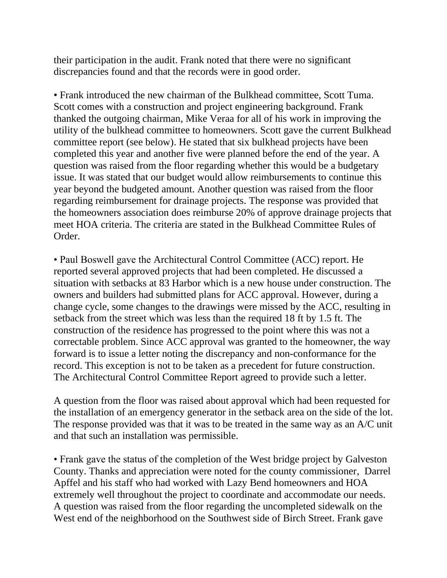their participation in the audit. Frank noted that there were no significant discrepancies found and that the records were in good order.

• Frank introduced the new chairman of the Bulkhead committee, Scott Tuma. Scott comes with a construction and project engineering background. Frank thanked the outgoing chairman, Mike Veraa for all of his work in improving the utility of the bulkhead committee to homeowners. Scott gave the current Bulkhead committee report (see below). He stated that six bulkhead projects have been completed this year and another five were planned before the end of the year. A question was raised from the floor regarding whether this would be a budgetary issue. It was stated that our budget would allow reimbursements to continue this year beyond the budgeted amount. Another question was raised from the floor regarding reimbursement for drainage projects. The response was provided that the homeowners association does reimburse 20% of approve drainage projects that meet HOA criteria. The criteria are stated in the Bulkhead Committee Rules of Order.

• Paul Boswell gave the Architectural Control Committee (ACC) report. He reported several approved projects that had been completed. He discussed a situation with setbacks at 83 Harbor which is a new house under construction. The owners and builders had submitted plans for ACC approval. However, during a change cycle, some changes to the drawings were missed by the ACC, resulting in setback from the street which was less than the required 18 ft by 1.5 ft. The construction of the residence has progressed to the point where this was not a correctable problem. Since ACC approval was granted to the homeowner, the way forward is to issue a letter noting the discrepancy and non-conformance for the record. This exception is not to be taken as a precedent for future construction. The Architectural Control Committee Report agreed to provide such a letter.

A question from the floor was raised about approval which had been requested for the installation of an emergency generator in the setback area on the side of the lot. The response provided was that it was to be treated in the same way as an A/C unit and that such an installation was permissible.

• Frank gave the status of the completion of the West bridge project by Galveston County. Thanks and appreciation were noted for the county commissioner, Darrel Apffel and his staff who had worked with Lazy Bend homeowners and HOA extremely well throughout the project to coordinate and accommodate our needs. A question was raised from the floor regarding the uncompleted sidewalk on the West end of the neighborhood on the Southwest side of Birch Street. Frank gave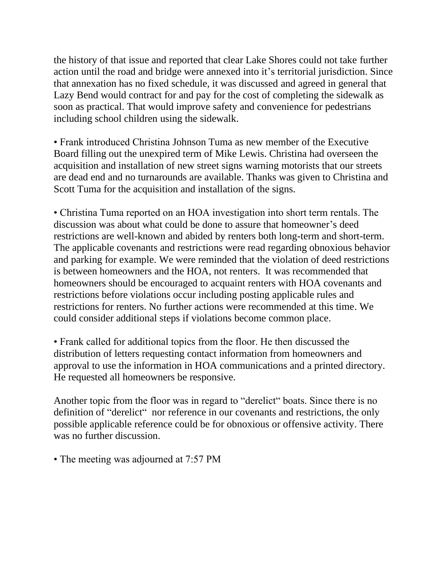the history of that issue and reported that clear Lake Shores could not take further action until the road and bridge were annexed into it's territorial jurisdiction. Since that annexation has no fixed schedule, it was discussed and agreed in general that Lazy Bend would contract for and pay for the cost of completing the sidewalk as soon as practical. That would improve safety and convenience for pedestrians including school children using the sidewalk.

• Frank introduced Christina Johnson Tuma as new member of the Executive Board filling out the unexpired term of Mike Lewis. Christina had overseen the acquisition and installation of new street signs warning motorists that our streets are dead end and no turnarounds are available. Thanks was given to Christina and Scott Tuma for the acquisition and installation of the signs.

• Christina Tuma reported on an HOA investigation into short term rentals. The discussion was about what could be done to assure that homeowner's deed restrictions are well-known and abided by renters both long-term and short-term. The applicable covenants and restrictions were read regarding obnoxious behavior and parking for example. We were reminded that the violation of deed restrictions is between homeowners and the HOA, not renters. It was recommended that homeowners should be encouraged to acquaint renters with HOA covenants and restrictions before violations occur including posting applicable rules and restrictions for renters. No further actions were recommended at this time. We could consider additional steps if violations become common place.

• Frank called for additional topics from the floor. He then discussed the distribution of letters requesting contact information from homeowners and approval to use the information in HOA communications and a printed directory. He requested all homeowners be responsive.

Another topic from the floor was in regard to "derelict" boats. Since there is no definition of "derelict" nor reference in our covenants and restrictions, the only possible applicable reference could be for obnoxious or offensive activity. There was no further discussion.

• The meeting was adjourned at 7:57 PM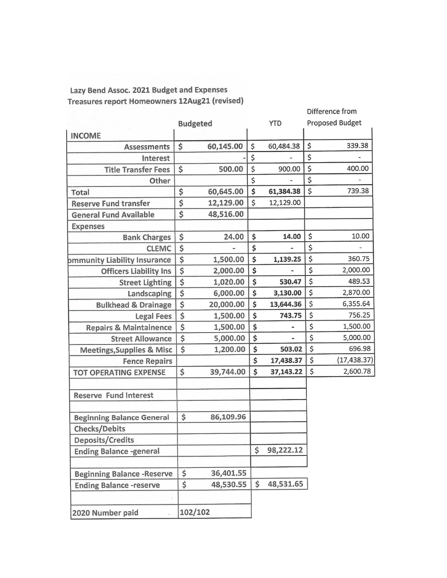## Lazy Bend Assoc. 2021 Budget and Expenses Treasures report Homeowners 12Aug21 (revised)

|                                      |                                     |           |                 | Difference from        |
|--------------------------------------|-------------------------------------|-----------|-----------------|------------------------|
|                                      | <b>Budgeted</b>                     |           | <b>YTD</b>      | <b>Proposed Budget</b> |
| <b>INCOME</b>                        |                                     |           |                 |                        |
| <b>Assessments</b>                   | \$                                  | 60,145.00 | \$<br>60,484.38 | \$<br>339.38           |
| Interest                             |                                     |           | \$              | \$                     |
| <b>Title Transfer Fees</b>           | \$                                  | 500.00    | \$<br>900.00    | \$<br>400.00           |
| Other                                |                                     |           | \$              | \$                     |
| Total                                | \$                                  | 60,645.00 | \$<br>61,384.38 | \$<br>739.38           |
| <b>Reserve Fund transfer</b>         | $\overline{\boldsymbol{\varsigma}}$ | 12,129.00 | \$<br>12,129.00 |                        |
| <b>General Fund Available</b>        | \$                                  | 48,516.00 |                 |                        |
| <b>Expenses</b>                      |                                     |           |                 |                        |
| <b>Bank Charges</b>                  | \$                                  | 24.00     | \$<br>14.00     | \$<br>10.00            |
| <b>CLEMC</b>                         | \$                                  |           | \$              | \$                     |
| <b>bmmunity Liability Insurance</b>  | \$                                  | 1,500.00  | \$<br>1,139.25  | \$<br>360.75           |
| <b>Officers Liability Ins</b>        | $\overline{\$}$                     | 2,000.00  | \$              | \$<br>2,000.00         |
| <b>Street Lighting</b>               | $\overline{\boldsymbol{\varsigma}}$ | 1,020.00  | \$<br>530.47    | \$<br>489.53           |
| Landscaping                          | $\overline{\xi}$                    | 6,000.00  | \$<br>3,130.00  | \$<br>2,870.00         |
| <b>Bulkhead &amp; Drainage</b>       | $\overline{\hat{\mathsf{s}}}$       | 20,000.00 | \$<br>13,644.36 | \$<br>6,355.64         |
| <b>Legal Fees</b>                    | \$                                  | 1,500.00  | \$<br>743.75    | \$<br>756.25           |
| <b>Repairs &amp; Maintainence</b>    | \$                                  | 1,500.00  | \$<br>٠         | \$<br>1,500.00         |
| <b>Street Allowance</b>              | $\overline{\$}$                     | 5,000.00  | \$              | \$<br>5,000.00         |
| <b>Meetings, Supplies &amp; Misc</b> | \$                                  | 1,200.00  | \$<br>503.02    | \$<br>696.98           |
| <b>Fence Repairs</b>                 |                                     |           | \$<br>17,438.37 | \$<br>(17, 438.37)     |
| <b>TOT OPERATING EXPENSE</b>         | \$                                  | 39,744.00 | \$<br>37,143.22 | \$<br>2,600.78         |
|                                      |                                     |           |                 |                        |
| <b>Reserve Fund Interest</b>         |                                     |           |                 |                        |
|                                      |                                     |           |                 |                        |
| <b>Beginning Balance General</b>     | \$                                  | 86,109.96 |                 |                        |
| <b>Checks/Debits</b>                 |                                     |           |                 |                        |
| Deposits/Credits                     |                                     |           |                 |                        |
| <b>Ending Balance -general</b>       |                                     |           | \$<br>98,222.12 |                        |
|                                      |                                     |           |                 |                        |
| <b>Beginning Balance -Reserve</b>    | \$                                  | 36,401.55 |                 |                        |
| <b>Ending Balance -reserve</b>       | \$                                  | 48,530.55 | \$<br>48,531.65 |                        |
| 2020 Number paid                     | 102/102                             |           |                 |                        |
|                                      |                                     |           |                 |                        |